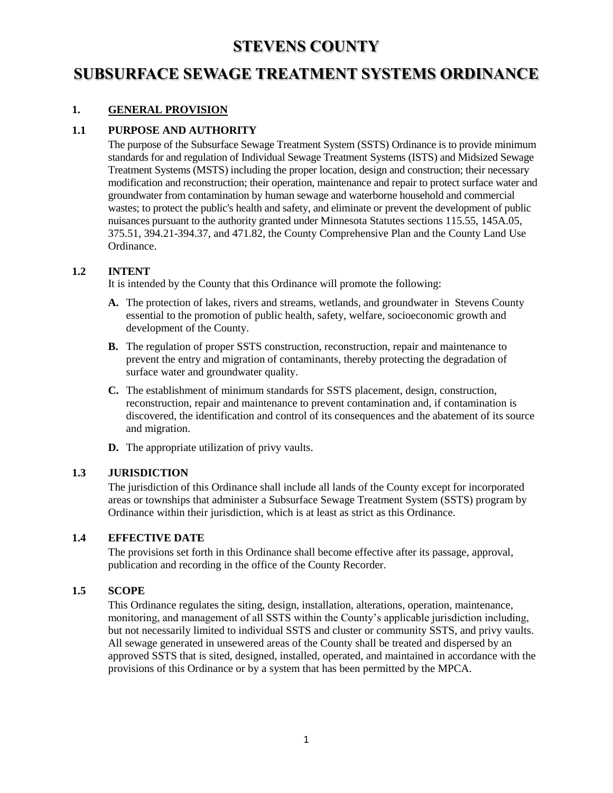# **STEVENS COUNTY**

# **SUBSURFACE SEWAGE TREATMENT SYSTEMS ORDINANCE**

# **1. GENERAL PROVISION**

# **1.1 PURPOSE AND AUTHORITY**

The purpose of the Subsurface Sewage Treatment System (SSTS) Ordinance is to provide minimum standards for and regulation of Individual Sewage Treatment Systems (ISTS) and Midsized Sewage Treatment Systems (MSTS) including the proper location, design and construction; their necessary modification and reconstruction; their operation, maintenance and repair to protect surface water and groundwater from contamination by human sewage and waterborne household and commercial wastes; to protect the public's health and safety, and eliminate or prevent the development of public nuisances pursuant to the authority granted under Minnesota Statutes sections 115.55, 145A.05, 375.51, 394.21-394.37, and 471.82, the County Comprehensive Plan and the County Land Use Ordinance.

## **1.2 INTENT**

It is intended by the County that this Ordinance will promote the following:

- **A.** The protection of lakes, rivers and streams, wetlands, and groundwater in Stevens County essential to the promotion of public health, safety, welfare, socioeconomic growth and development of the County.
- **B.** The regulation of proper SSTS construction, reconstruction, repair and maintenance to prevent the entry and migration of contaminants, thereby protecting the degradation of surface water and groundwater quality.
- **C.** The establishment of minimum standards for SSTS placement, design, construction, reconstruction, repair and maintenance to prevent contamination and, if contamination is discovered, the identification and control of its consequences and the abatement of its source and migration.
- **D.** The appropriate utilization of privy vaults.

### **1.3 JURISDICTION**

The jurisdiction of this Ordinance shall include all lands of the County except for incorporated areas or townships that administer a Subsurface Sewage Treatment System (SSTS) program by Ordinance within their jurisdiction, which is at least as strict as this Ordinance.

### **1.4 EFFECTIVE DATE**

The provisions set forth in this Ordinance shall become effective after its passage, approval, publication and recording in the office of the County Recorder.

### **1.5 SCOPE**

This Ordinance regulates the siting, design, installation, alterations, operation, maintenance, monitoring, and management of all SSTS within the County's applicable jurisdiction including, but not necessarily limited to individual SSTS and cluster or community SSTS, and privy vaults. All sewage generated in unsewered areas of the County shall be treated and dispersed by an approved SSTS that is sited, designed, installed, operated, and maintained in accordance with the provisions of this Ordinance or by a system that has been permitted by the MPCA.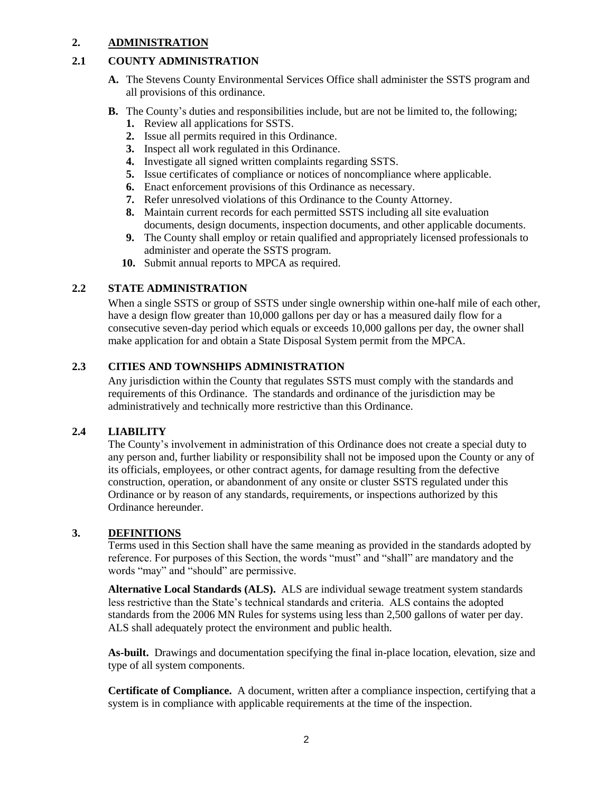## **2. ADMINISTRATION**

# **2.1 COUNTY ADMINISTRATION**

- **A.** The Stevens County Environmental Services Office shall administer the SSTS program and all provisions of this ordinance.
- **B.** The County's duties and responsibilities include, but are not be limited to, the following;
	- **1.** Review all applications for SSTS.
	- **2.** Issue all permits required in this Ordinance.
	- **3.** Inspect all work regulated in this Ordinance.
	- **4.** Investigate all signed written complaints regarding SSTS.
	- **5.** Issue certificates of compliance or notices of noncompliance where applicable.
	- **6.** Enact enforcement provisions of this Ordinance as necessary.
	- **7.** Refer unresolved violations of this Ordinance to the County Attorney.
	- **8.** Maintain current records for each permitted SSTS including all site evaluation documents, design documents, inspection documents, and other applicable documents.
	- **9.** The County shall employ or retain qualified and appropriately licensed professionals to administer and operate the SSTS program.
	- **10.** Submit annual reports to MPCA as required.

# **2.2 STATE ADMINISTRATION**

When a single SSTS or group of SSTS under single ownership within one-half mile of each other, have a design flow greater than 10,000 gallons per day or has a measured daily flow for a consecutive seven-day period which equals or exceeds 10,000 gallons per day, the owner shall make application for and obtain a State Disposal System permit from the MPCA.

# **2.3 CITIES AND TOWNSHIPS ADMINISTRATION**

Any jurisdiction within the County that regulates SSTS must comply with the standards and requirements of this Ordinance. The standards and ordinance of the jurisdiction may be administratively and technically more restrictive than this Ordinance.

### **2.4 LIABILITY**

The County's involvement in administration of this Ordinance does not create a special duty to any person and, further liability or responsibility shall not be imposed upon the County or any of its officials, employees, or other contract agents, for damage resulting from the defective construction, operation, or abandonment of any onsite or cluster SSTS regulated under this Ordinance or by reason of any standards, requirements, or inspections authorized by this Ordinance hereunder.

### **3. DEFINITIONS**

Terms used in this Section shall have the same meaning as provided in the standards adopted by reference. For purposes of this Section, the words "must" and "shall" are mandatory and the words "may" and "should" are permissive.

**Alternative Local Standards (ALS).** ALS are individual sewage treatment system standards less restrictive than the State's technical standards and criteria. ALS contains the adopted standards from the 2006 MN Rules for systems using less than 2,500 gallons of water per day. ALS shall adequately protect the environment and public health.

**As-built.** Drawings and documentation specifying the final in-place location, elevation, size and type of all system components.

**Certificate of Compliance.** A document, written after a compliance inspection, certifying that a system is in compliance with applicable requirements at the time of the inspection.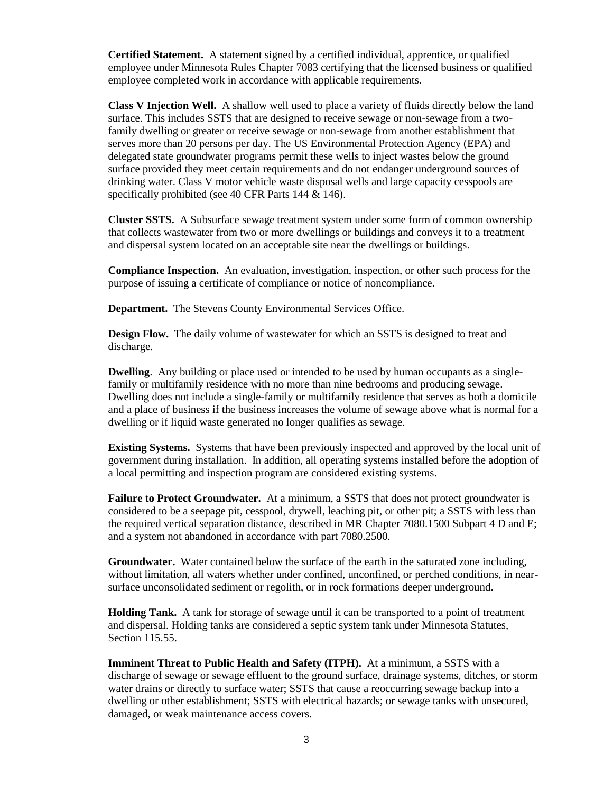**Certified Statement.** A statement signed by a certified individual, apprentice, or qualified employee under Minnesota Rules Chapter 7083 certifying that the licensed business or qualified employee completed work in accordance with applicable requirements.

**Class V Injection Well.** A shallow well used to place a variety of fluids directly below the land surface. This includes SSTS that are designed to receive sewage or non-sewage from a twofamily dwelling or greater or receive sewage or non-sewage from another establishment that serves more than 20 persons per day. The US Environmental Protection Agency (EPA) and delegated state groundwater programs permit these wells to inject wastes below the ground surface provided they meet certain requirements and do not endanger underground sources of drinking water. Class V motor vehicle waste disposal wells and large capacity cesspools are specifically prohibited (see 40 CFR Parts 144 & 146).

**Cluster SSTS.** A Subsurface sewage treatment system under some form of common ownership that collects wastewater from two or more dwellings or buildings and conveys it to a treatment and dispersal system located on an acceptable site near the dwellings or buildings.

**Compliance Inspection.** An evaluation, investigation, inspection, or other such process for the purpose of issuing a certificate of compliance or notice of noncompliance.

**Department.** The Stevens County Environmental Services Office.

**Design Flow.** The daily volume of wastewater for which an SSTS is designed to treat and discharge.

**Dwelling**. Any building or place used or intended to be used by human occupants as a singlefamily or multifamily residence with no more than nine bedrooms and producing sewage. Dwelling does not include a single-family or multifamily residence that serves as both a domicile and a place of business if the business increases the volume of sewage above what is normal for a dwelling or if liquid waste generated no longer qualifies as sewage.

**Existing Systems.** Systems that have been previously inspected and approved by the local unit of government during installation. In addition, all operating systems installed before the adoption of a local permitting and inspection program are considered existing systems.

**Failure to Protect Groundwater.** At a minimum, a SSTS that does not protect groundwater is considered to be a seepage pit, cesspool, drywell, leaching pit, or other pit; a SSTS with less than the required vertical separation distance, described in MR Chapter 7080.1500 Subpart 4 D and E; and a system not abandoned in accordance with part 7080.2500.

**Groundwater.** Water contained below the surface of the earth in the saturated zone including, without limitation, all waters whether under confined, unconfined, or perched conditions, in nearsurface unconsolidated sediment or regolith, or in rock formations deeper underground.

**Holding Tank.** A tank for storage of sewage until it can be transported to a point of treatment and dispersal. Holding tanks are considered a septic system tank under Minnesota Statutes, Section 115.55.

**Imminent Threat to Public Health and Safety (ITPH).** At a minimum, a SSTS with a discharge of sewage or sewage effluent to the ground surface, drainage systems, ditches, or storm water drains or directly to surface water; SSTS that cause a reoccurring sewage backup into a dwelling or other establishment; SSTS with electrical hazards; or sewage tanks with unsecured, damaged, or weak maintenance access covers.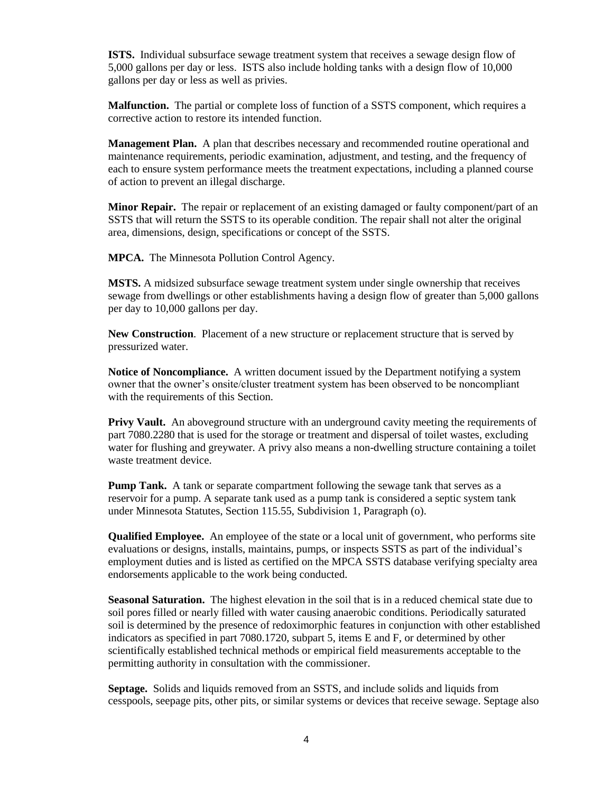**ISTS.** Individual subsurface sewage treatment system that receives a sewage design flow of 5,000 gallons per day or less. ISTS also include holding tanks with a design flow of 10,000 gallons per day or less as well as privies.

**Malfunction.** The partial or complete loss of function of a SSTS component, which requires a corrective action to restore its intended function.

**Management Plan.** A plan that describes necessary and recommended routine operational and maintenance requirements, periodic examination, adjustment, and testing, and the frequency of each to ensure system performance meets the treatment expectations, including a planned course of action to prevent an illegal discharge.

**Minor Repair.** The repair or replacement of an existing damaged or faulty component/part of an SSTS that will return the SSTS to its operable condition. The repair shall not alter the original area, dimensions, design, specifications or concept of the SSTS.

**MPCA.** The Minnesota Pollution Control Agency.

**MSTS.** A midsized subsurface sewage treatment system under single ownership that receives sewage from dwellings or other establishments having a design flow of greater than 5,000 gallons per day to 10,000 gallons per day.

**New Construction**. Placement of a new structure or replacement structure that is served by pressurized water.

**Notice of Noncompliance.** A written document issued by the Department notifying a system owner that the owner's onsite/cluster treatment system has been observed to be noncompliant with the requirements of this Section.

**Privy Vault.** An aboveground structure with an underground cavity meeting the requirements of part 7080.2280 that is used for the storage or treatment and dispersal of toilet wastes, excluding water for flushing and greywater. A privy also means a non-dwelling structure containing a toilet waste treatment device.

**Pump Tank.** A tank or separate compartment following the sewage tank that serves as a reservoir for a pump. A separate tank used as a pump tank is considered a septic system tank under Minnesota Statutes, Section 115.55, Subdivision 1, Paragraph (o).

**Qualified Employee.** An employee of the state or a local unit of government, who performs site evaluations or designs, installs, maintains, pumps, or inspects SSTS as part of the individual's employment duties and is listed as certified on the MPCA SSTS database verifying specialty area endorsements applicable to the work being conducted.

**Seasonal Saturation.** The highest elevation in the soil that is in a reduced chemical state due to soil pores filled or nearly filled with water causing anaerobic conditions. Periodically saturated soil is determined by the presence of redoximorphic features in conjunction with other established indicators as specified in part 7080.1720, subpart 5, items E and F, or determined by other scientifically established technical methods or empirical field measurements acceptable to the permitting authority in consultation with the commissioner.

**Septage.** Solids and liquids removed from an SSTS, and include solids and liquids from cesspools, seepage pits, other pits, or similar systems or devices that receive sewage. Septage also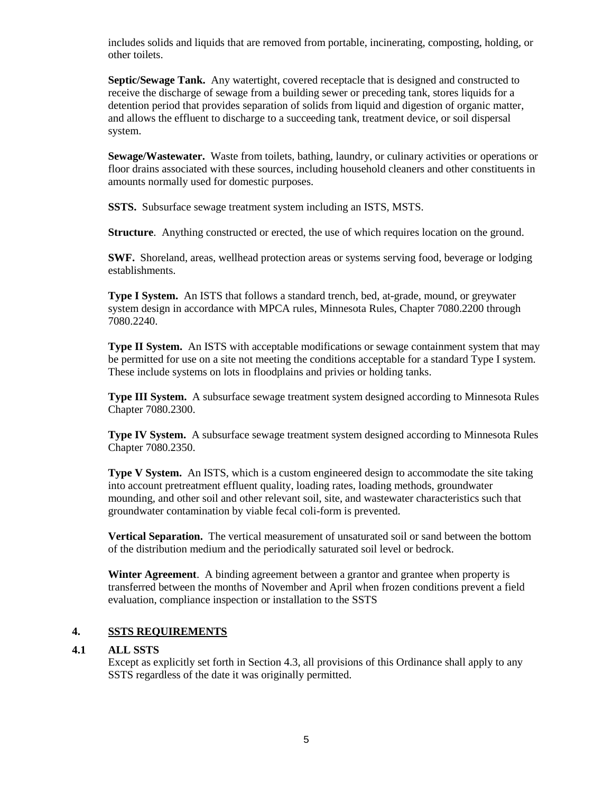includes solids and liquids that are removed from portable, incinerating, composting, holding, or other toilets.

**Septic/Sewage Tank.** Any watertight, covered receptacle that is designed and constructed to receive the discharge of sewage from a building sewer or preceding tank, stores liquids for a detention period that provides separation of solids from liquid and digestion of organic matter, and allows the effluent to discharge to a succeeding tank, treatment device, or soil dispersal system.

**Sewage/Wastewater.** Waste from toilets, bathing, laundry, or culinary activities or operations or floor drains associated with these sources, including household cleaners and other constituents in amounts normally used for domestic purposes.

**SSTS.** Subsurface sewage treatment system including an ISTS, MSTS.

**Structure.** Anything constructed or erected, the use of which requires location on the ground.

**SWF.** Shoreland, areas, wellhead protection areas or systems serving food, beverage or lodging establishments.

**Type I System.** An ISTS that follows a standard trench, bed, at-grade, mound, or greywater system design in accordance with MPCA rules, Minnesota Rules, Chapter 7080.2200 through 7080.2240.

**Type II System.** An ISTS with acceptable modifications or sewage containment system that may be permitted for use on a site not meeting the conditions acceptable for a standard Type I system. These include systems on lots in floodplains and privies or holding tanks.

**Type III System.** A subsurface sewage treatment system designed according to Minnesota Rules Chapter 7080.2300.

**Type IV System.** A subsurface sewage treatment system designed according to Minnesota Rules Chapter 7080.2350.

**Type V System.** An ISTS, which is a custom engineered design to accommodate the site taking into account pretreatment effluent quality, loading rates, loading methods, groundwater mounding, and other soil and other relevant soil, site, and wastewater characteristics such that groundwater contamination by viable fecal coli-form is prevented.

**Vertical Separation.** The vertical measurement of unsaturated soil or sand between the bottom of the distribution medium and the periodically saturated soil level or bedrock.

**Winter Agreement**. A binding agreement between a grantor and grantee when property is transferred between the months of November and April when frozen conditions prevent a field evaluation, compliance inspection or installation to the SSTS

### **4. SSTS REQUIREMENTS**

### **4.1 ALL SSTS**

Except as explicitly set forth in Section 4.3, all provisions of this Ordinance shall apply to any SSTS regardless of the date it was originally permitted.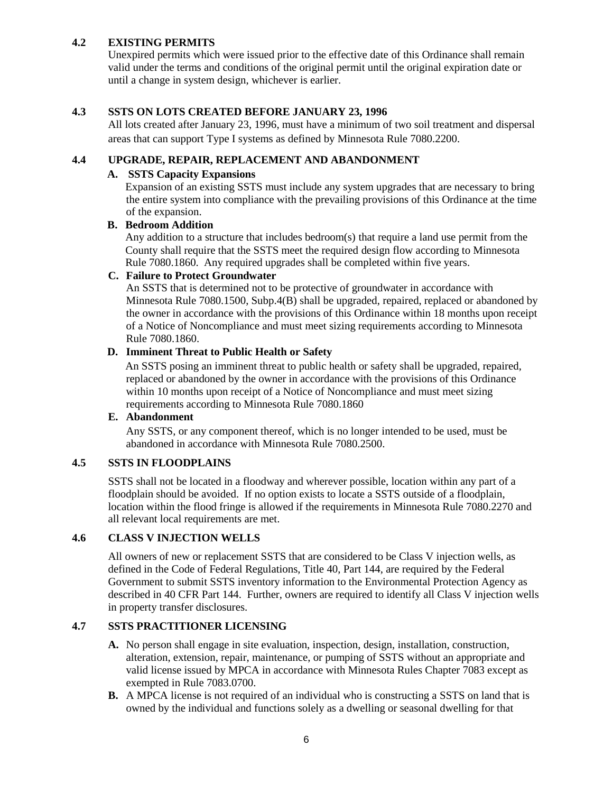# **4.2 EXISTING PERMITS**

Unexpired permits which were issued prior to the effective date of this Ordinance shall remain valid under the terms and conditions of the original permit until the original expiration date or until a change in system design, whichever is earlier.

## **4.3 SSTS ON LOTS CREATED BEFORE JANUARY 23, 1996**

All lots created after January 23, 1996, must have a minimum of two soil treatment and dispersal areas that can support Type I systems as defined by Minnesota Rule 7080.2200.

# **4.4 UPGRADE, REPAIR, REPLACEMENT AND ABANDONMENT**

#### **A. SSTS Capacity Expansions**

Expansion of an existing SSTS must include any system upgrades that are necessary to bring the entire system into compliance with the prevailing provisions of this Ordinance at the time of the expansion.

### **B. Bedroom Addition**

Any addition to a structure that includes bedroom(s) that require a land use permit from the County shall require that the SSTS meet the required design flow according to Minnesota Rule 7080.1860. Any required upgrades shall be completed within five years.

# **C. Failure to Protect Groundwater**

An SSTS that is determined not to be protective of groundwater in accordance with Minnesota Rule 7080.1500, Subp.4(B) shall be upgraded, repaired, replaced or abandoned by the owner in accordance with the provisions of this Ordinance within 18 months upon receipt of a Notice of Noncompliance and must meet sizing requirements according to Minnesota Rule 7080.1860.

## **D. Imminent Threat to Public Health or Safety**

An SSTS posing an imminent threat to public health or safety shall be upgraded, repaired, replaced or abandoned by the owner in accordance with the provisions of this Ordinance within 10 months upon receipt of a Notice of Noncompliance and must meet sizing requirements according to Minnesota Rule 7080.1860

### **E. Abandonment**

Any SSTS, or any component thereof, which is no longer intended to be used, must be abandoned in accordance with Minnesota Rule 7080.2500.

# **4.5 SSTS IN FLOODPLAINS**

SSTS shall not be located in a floodway and wherever possible, location within any part of a floodplain should be avoided. If no option exists to locate a SSTS outside of a floodplain, location within the flood fringe is allowed if the requirements in Minnesota Rule 7080.2270 and all relevant local requirements are met.

### **4.6 CLASS V INJECTION WELLS**

All owners of new or replacement SSTS that are considered to be Class V injection wells, as defined in the Code of Federal Regulations, Title 40, Part 144, are required by the Federal Government to submit SSTS inventory information to the Environmental Protection Agency as described in 40 CFR Part 144. Further, owners are required to identify all Class V injection wells in property transfer disclosures.

### **4.7 SSTS PRACTITIONER LICENSING**

- **A.** No person shall engage in site evaluation, inspection, design, installation, construction, alteration, extension, repair, maintenance, or pumping of SSTS without an appropriate and valid license issued by MPCA in accordance with Minnesota Rules Chapter 7083 except as exempted in Rule 7083.0700.
- **B.** A MPCA license is not required of an individual who is constructing a SSTS on land that is owned by the individual and functions solely as a dwelling or seasonal dwelling for that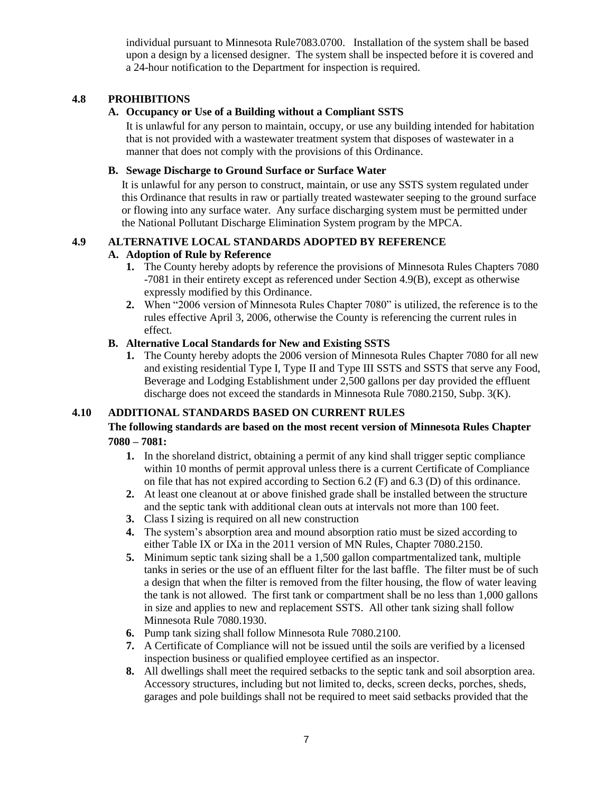individual pursuant to Minnesota Rule7083.0700. Installation of the system shall be based upon a design by a licensed designer. The system shall be inspected before it is covered and a 24-hour notification to the Department for inspection is required.

# **4.8 PROHIBITIONS**

## **A. Occupancy or Use of a Building without a Compliant SSTS**

It is unlawful for any person to maintain, occupy, or use any building intended for habitation that is not provided with a wastewater treatment system that disposes of wastewater in a manner that does not comply with the provisions of this Ordinance.

# **B. Sewage Discharge to Ground Surface or Surface Water**

It is unlawful for any person to construct, maintain, or use any SSTS system regulated under this Ordinance that results in raw or partially treated wastewater seeping to the ground surface or flowing into any surface water. Any surface discharging system must be permitted under the National Pollutant Discharge Elimination System program by the MPCA.

## **4.9 ALTERNATIVE LOCAL STANDARDS ADOPTED BY REFERENCE**

### **A. Adoption of Rule by Reference**

- **1.** The County hereby adopts by reference the provisions of Minnesota Rules Chapters 7080 -7081 in their entirety except as referenced under Section 4.9(B), except as otherwise expressly modified by this Ordinance.
- **2.** When "2006 version of Minnesota Rules Chapter 7080" is utilized, the reference is to the rules effective April 3, 2006, otherwise the County is referencing the current rules in effect.

# **B. Alternative Local Standards for New and Existing SSTS**

**1.** The County hereby adopts the 2006 version of Minnesota Rules Chapter 7080 for all new and existing residential Type I, Type II and Type III SSTS and SSTS that serve any Food, Beverage and Lodging Establishment under 2,500 gallons per day provided the effluent discharge does not exceed the standards in Minnesota Rule 7080.2150, Subp. 3(K).

# **4.10 ADDITIONAL STANDARDS BASED ON CURRENT RULES**

## **The following standards are based on the most recent version of Minnesota Rules Chapter 7080 – 7081:**

- **1.** In the shoreland district, obtaining a permit of any kind shall trigger septic compliance within 10 months of permit approval unless there is a current Certificate of Compliance on file that has not expired according to Section 6.2 (F) and 6.3 (D) of this ordinance.
- **2.** At least one cleanout at or above finished grade shall be installed between the structure and the septic tank with additional clean outs at intervals not more than 100 feet.
- **3.** Class I sizing is required on all new construction
- **4.** The system's absorption area and mound absorption ratio must be sized according to either Table IX or IXa in the 2011 version of MN Rules, Chapter 7080.2150.
- **5.** Minimum septic tank sizing shall be a 1,500 gallon compartmentalized tank, multiple tanks in series or the use of an effluent filter for the last baffle. The filter must be of such a design that when the filter is removed from the filter housing, the flow of water leaving the tank is not allowed. The first tank or compartment shall be no less than 1,000 gallons in size and applies to new and replacement SSTS. All other tank sizing shall follow Minnesota Rule 7080.1930.
- **6.** Pump tank sizing shall follow Minnesota Rule 7080.2100.
- **7.** A Certificate of Compliance will not be issued until the soils are verified by a licensed inspection business or qualified employee certified as an inspector.
- **8.** All dwellings shall meet the required setbacks to the septic tank and soil absorption area. Accessory structures, including but not limited to, decks, screen decks, porches, sheds, garages and pole buildings shall not be required to meet said setbacks provided that the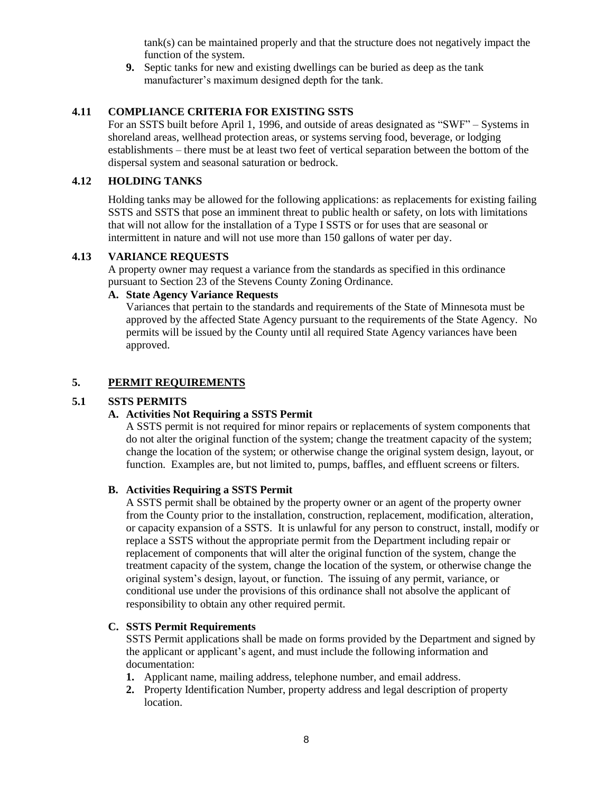tank(s) can be maintained properly and that the structure does not negatively impact the function of the system.

**9.** Septic tanks for new and existing dwellings can be buried as deep as the tank manufacturer's maximum designed depth for the tank.

# **4.11 COMPLIANCE CRITERIA FOR EXISTING SSTS**

For an SSTS built before April 1, 1996, and outside of areas designated as "SWF" – Systems in shoreland areas, wellhead protection areas, or systems serving food, beverage, or lodging establishments – there must be at least two feet of vertical separation between the bottom of the dispersal system and seasonal saturation or bedrock.

## **4.12 HOLDING TANKS**

Holding tanks may be allowed for the following applications: as replacements for existing failing SSTS and SSTS that pose an imminent threat to public health or safety, on lots with limitations that will not allow for the installation of a Type I SSTS or for uses that are seasonal or intermittent in nature and will not use more than 150 gallons of water per day.

### **4.13 VARIANCE REQUESTS**

A property owner may request a variance from the standards as specified in this ordinance pursuant to Section 23 of the Stevens County Zoning Ordinance.

# **A. State Agency Variance Requests**

Variances that pertain to the standards and requirements of the State of Minnesota must be approved by the affected State Agency pursuant to the requirements of the State Agency. No permits will be issued by the County until all required State Agency variances have been approved.

# **5. PERMIT REQUIREMENTS**

# **5.1 SSTS PERMITS**

### **A. Activities Not Requiring a SSTS Permit**

 A SSTS permit is not required for minor repairs or replacements of system components that do not alter the original function of the system; change the treatment capacity of the system; change the location of the system; or otherwise change the original system design, layout, or function. Examples are, but not limited to, pumps, baffles, and effluent screens or filters.

### **B. Activities Requiring a SSTS Permit**

A SSTS permit shall be obtained by the property owner or an agent of the property owner from the County prior to the installation, construction, replacement, modification, alteration, or capacity expansion of a SSTS. It is unlawful for any person to construct, install, modify or replace a SSTS without the appropriate permit from the Department including repair or replacement of components that will alter the original function of the system, change the treatment capacity of the system, change the location of the system, or otherwise change the original system's design, layout, or function. The issuing of any permit, variance, or conditional use under the provisions of this ordinance shall not absolve the applicant of responsibility to obtain any other required permit.

### **C. SSTS Permit Requirements**

SSTS Permit applications shall be made on forms provided by the Department and signed by the applicant or applicant's agent, and must include the following information and documentation:

- **1.** Applicant name, mailing address, telephone number, and email address.
- **2.** Property Identification Number, property address and legal description of property location.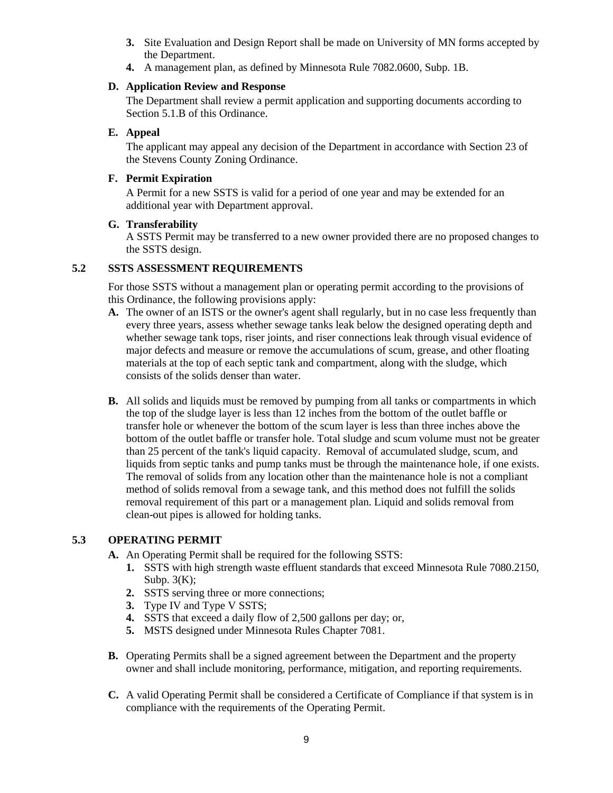- **3.** Site Evaluation and Design Report shall be made on University of MN forms accepted by the Department.
- **4.** A management plan, as defined by Minnesota Rule 7082.0600, Subp. 1B.

# **D. Application Review and Response**

The Department shall review a permit application and supporting documents according to Section 5.1.B of this Ordinance.

# **E. Appeal**

The applicant may appeal any decision of the Department in accordance with Section 23 of the Stevens County Zoning Ordinance.

# **F. Permit Expiration**

A Permit for a new SSTS is valid for a period of one year and may be extended for an additional year with Department approval.

## **G. Transferability**

A SSTS Permit may be transferred to a new owner provided there are no proposed changes to the SSTS design.

# **5.2 SSTS ASSESSMENT REQUIREMENTS**

For those SSTS without a management plan or operating permit according to the provisions of this Ordinance, the following provisions apply:

- **A.** The owner of an ISTS or the owner's agent shall regularly, but in no case less frequently than every three years, assess whether sewage tanks leak below the designed operating depth and whether sewage tank tops, riser joints, and riser connections leak through visual evidence of major defects and measure or remove the accumulations of scum, grease, and other floating materials at the top of each septic tank and compartment, along with the sludge, which consists of the solids denser than water.
- **B.** All solids and liquids must be removed by pumping from all tanks or compartments in which the top of the sludge layer is less than 12 inches from the bottom of the outlet baffle or transfer hole or whenever the bottom of the scum layer is less than three inches above the bottom of the outlet baffle or transfer hole. Total sludge and scum volume must not be greater than 25 percent of the tank's liquid capacity. Removal of accumulated sludge, scum, and liquids from septic tanks and pump tanks must be through the maintenance hole, if one exists. The removal of solids from any location other than the maintenance hole is not a compliant method of solids removal from a sewage tank, and this method does not fulfill the solids removal requirement of this part or a management plan. Liquid and solids removal from clean-out pipes is allowed for holding tanks.

# **5.3 OPERATING PERMIT**

- **A.** An Operating Permit shall be required for the following SSTS:
	- **1.** SSTS with high strength waste effluent standards that exceed Minnesota Rule 7080.2150, Subp.  $3(K)$ ;
	- **2.** SSTS serving three or more connections;
	- **3.** Type IV and Type V SSTS;
	- **4.** SSTS that exceed a daily flow of 2,500 gallons per day; or,
	- **5.** MSTS designed under Minnesota Rules Chapter 7081.
- **B.** Operating Permits shall be a signed agreement between the Department and the property owner and shall include monitoring, performance, mitigation, and reporting requirements.
- **C.** A valid Operating Permit shall be considered a Certificate of Compliance if that system is in compliance with the requirements of the Operating Permit.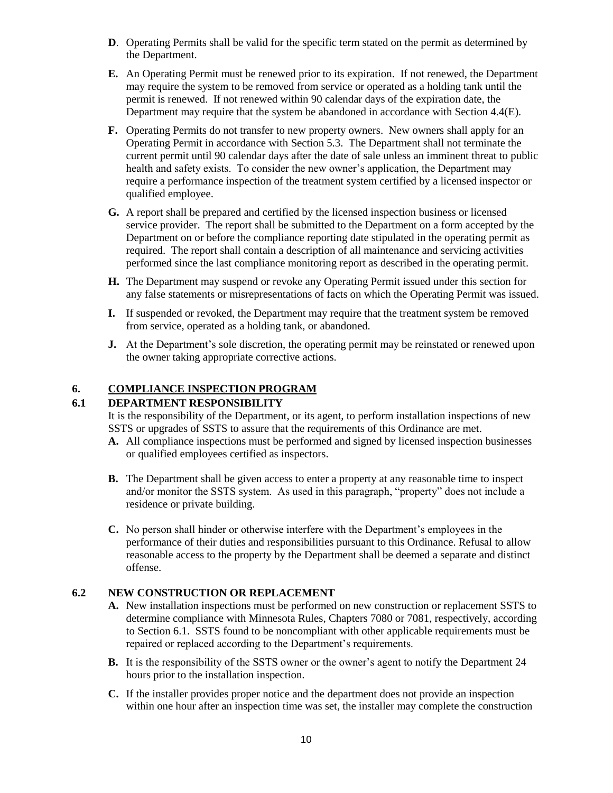- **D**. Operating Permits shall be valid for the specific term stated on the permit as determined by the Department.
- **E.** An Operating Permit must be renewed prior to its expiration. If not renewed, the Department may require the system to be removed from service or operated as a holding tank until the permit is renewed. If not renewed within 90 calendar days of the expiration date, the Department may require that the system be abandoned in accordance with Section 4.4(E).
- **F.** Operating Permits do not transfer to new property owners. New owners shall apply for an Operating Permit in accordance with Section 5.3. The Department shall not terminate the current permit until 90 calendar days after the date of sale unless an imminent threat to public health and safety exists. To consider the new owner's application, the Department may require a performance inspection of the treatment system certified by a licensed inspector or qualified employee.
- **G.** A report shall be prepared and certified by the licensed inspection business or licensed service provider. The report shall be submitted to the Department on a form accepted by the Department on or before the compliance reporting date stipulated in the operating permit as required. The report shall contain a description of all maintenance and servicing activities performed since the last compliance monitoring report as described in the operating permit.
- **H.** The Department may suspend or revoke any Operating Permit issued under this section for any false statements or misrepresentations of facts on which the Operating Permit was issued.
- **I.** If suspended or revoked, the Department may require that the treatment system be removed from service, operated as a holding tank, or abandoned.
- **J.** At the Department's sole discretion, the operating permit may be reinstated or renewed upon the owner taking appropriate corrective actions.

## **6. COMPLIANCE INSPECTION PROGRAM**

## **6.1 DEPARTMENT RESPONSIBILITY**

It is the responsibility of the Department, or its agent, to perform installation inspections of new SSTS or upgrades of SSTS to assure that the requirements of this Ordinance are met.

- **A.** All compliance inspections must be performed and signed by licensed inspection businesses or qualified employees certified as inspectors.
- **B.** The Department shall be given access to enter a property at any reasonable time to inspect and/or monitor the SSTS system. As used in this paragraph, "property" does not include a residence or private building.
- **C.** No person shall hinder or otherwise interfere with the Department's employees in the performance of their duties and responsibilities pursuant to this Ordinance. Refusal to allow reasonable access to the property by the Department shall be deemed a separate and distinct offense.

### **6.2 NEW CONSTRUCTION OR REPLACEMENT**

- **A.** New installation inspections must be performed on new construction or replacement SSTS to determine compliance with Minnesota Rules, Chapters 7080 or 7081, respectively, according to Section 6.1. SSTS found to be noncompliant with other applicable requirements must be repaired or replaced according to the Department's requirements.
- **B.** It is the responsibility of the SSTS owner or the owner's agent to notify the Department 24 hours prior to the installation inspection.
- **C.** If the installer provides proper notice and the department does not provide an inspection within one hour after an inspection time was set, the installer may complete the construction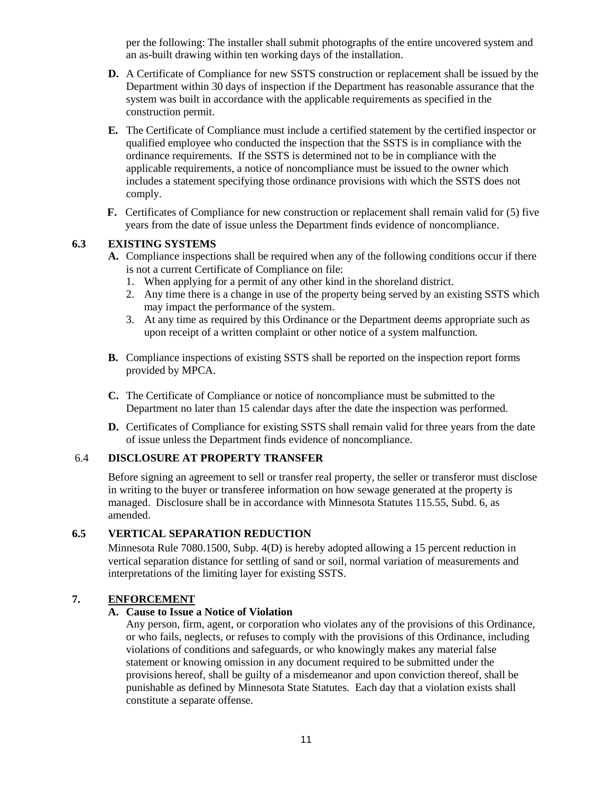per the following: The installer shall submit photographs of the entire uncovered system and an as-built drawing within ten working days of the installation.

- **D.** A Certificate of Compliance for new SSTS construction or replacement shall be issued by the Department within 30 days of inspection if the Department has reasonable assurance that the system was built in accordance with the applicable requirements as specified in the construction permit.
- **E.** The Certificate of Compliance must include a certified statement by the certified inspector or qualified employee who conducted the inspection that the SSTS is in compliance with the ordinance requirements. If the SSTS is determined not to be in compliance with the applicable requirements, a notice of noncompliance must be issued to the owner which includes a statement specifying those ordinance provisions with which the SSTS does not comply.
- **F.** Certificates of Compliance for new construction or replacement shall remain valid for (5) five years from the date of issue unless the Department finds evidence of noncompliance.

# **6.3 EXISTING SYSTEMS**

- **A.** Compliance inspections shall be required when any of the following conditions occur if there is not a current Certificate of Compliance on file:
	- 1. When applying for a permit of any other kind in the shoreland district.
	- 2. Any time there is a change in use of the property being served by an existing SSTS which may impact the performance of the system.
	- 3. At any time as required by this Ordinance or the Department deems appropriate such as upon receipt of a written complaint or other notice of a system malfunction.
- **B.** Compliance inspections of existing SSTS shall be reported on the inspection report forms provided by MPCA.
- **C.** The Certificate of Compliance or notice of noncompliance must be submitted to the Department no later than 15 calendar days after the date the inspection was performed.
- **D.** Certificates of Compliance for existing SSTS shall remain valid for three years from the date of issue unless the Department finds evidence of noncompliance.

# 6.4 **DISCLOSURE AT PROPERTY TRANSFER**

Before signing an agreement to sell or transfer real property, the seller or transferor must disclose in writing to the buyer or transferee information on how sewage generated at the property is managed. Disclosure shall be in accordance with Minnesota Statutes 115.55, Subd. 6, as amended.

## **6.5 VERTICAL SEPARATION REDUCTION**

Minnesota Rule 7080.1500, Subp. 4(D) is hereby adopted allowing a 15 percent reduction in vertical separation distance for settling of sand or soil, normal variation of measurements and interpretations of the limiting layer for existing SSTS.

### **7. ENFORCEMENT**

## **A. Cause to Issue a Notice of Violation**

Any person, firm, agent, or corporation who violates any of the provisions of this Ordinance, or who fails, neglects, or refuses to comply with the provisions of this Ordinance, including violations of conditions and safeguards, or who knowingly makes any material false statement or knowing omission in any document required to be submitted under the provisions hereof, shall be guilty of a misdemeanor and upon conviction thereof, shall be punishable as defined by Minnesota State Statutes. Each day that a violation exists shall constitute a separate offense.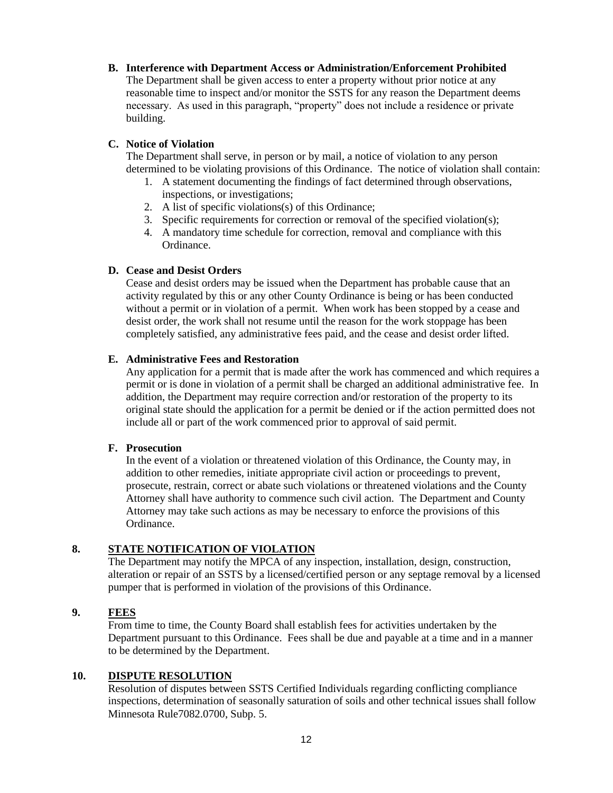### **B. Interference with Department Access or Administration/Enforcement Prohibited**

The Department shall be given access to enter a property without prior notice at any reasonable time to inspect and/or monitor the SSTS for any reason the Department deems necessary. As used in this paragraph, "property" does not include a residence or private building.

## **C. Notice of Violation**

The Department shall serve, in person or by mail, a notice of violation to any person determined to be violating provisions of this Ordinance. The notice of violation shall contain:

- 1. A statement documenting the findings of fact determined through observations, inspections, or investigations;
- 2. A list of specific violations(s) of this Ordinance;
- 3. Specific requirements for correction or removal of the specified violation(s);
- 4. A mandatory time schedule for correction, removal and compliance with this Ordinance.

## **D. Cease and Desist Orders**

Cease and desist orders may be issued when the Department has probable cause that an activity regulated by this or any other County Ordinance is being or has been conducted without a permit or in violation of a permit. When work has been stopped by a cease and desist order, the work shall not resume until the reason for the work stoppage has been completely satisfied, any administrative fees paid, and the cease and desist order lifted.

## **E. Administrative Fees and Restoration**

Any application for a permit that is made after the work has commenced and which requires a permit or is done in violation of a permit shall be charged an additional administrative fee. In addition, the Department may require correction and/or restoration of the property to its original state should the application for a permit be denied or if the action permitted does not include all or part of the work commenced prior to approval of said permit.

### **F. Prosecution**

In the event of a violation or threatened violation of this Ordinance, the County may, in addition to other remedies, initiate appropriate civil action or proceedings to prevent, prosecute, restrain, correct or abate such violations or threatened violations and the County Attorney shall have authority to commence such civil action. The Department and County Attorney may take such actions as may be necessary to enforce the provisions of this Ordinance.

# **8. STATE NOTIFICATION OF VIOLATION**

The Department may notify the MPCA of any inspection, installation, design, construction, alteration or repair of an SSTS by a licensed/certified person or any septage removal by a licensed pumper that is performed in violation of the provisions of this Ordinance.

# **9. FEES**

From time to time, the County Board shall establish fees for activities undertaken by the Department pursuant to this Ordinance. Fees shall be due and payable at a time and in a manner to be determined by the Department.

### **10. DISPUTE RESOLUTION**

Resolution of disputes between SSTS Certified Individuals regarding conflicting compliance inspections, determination of seasonally saturation of soils and other technical issues shall follow Minnesota Rule7082.0700, Subp. 5.